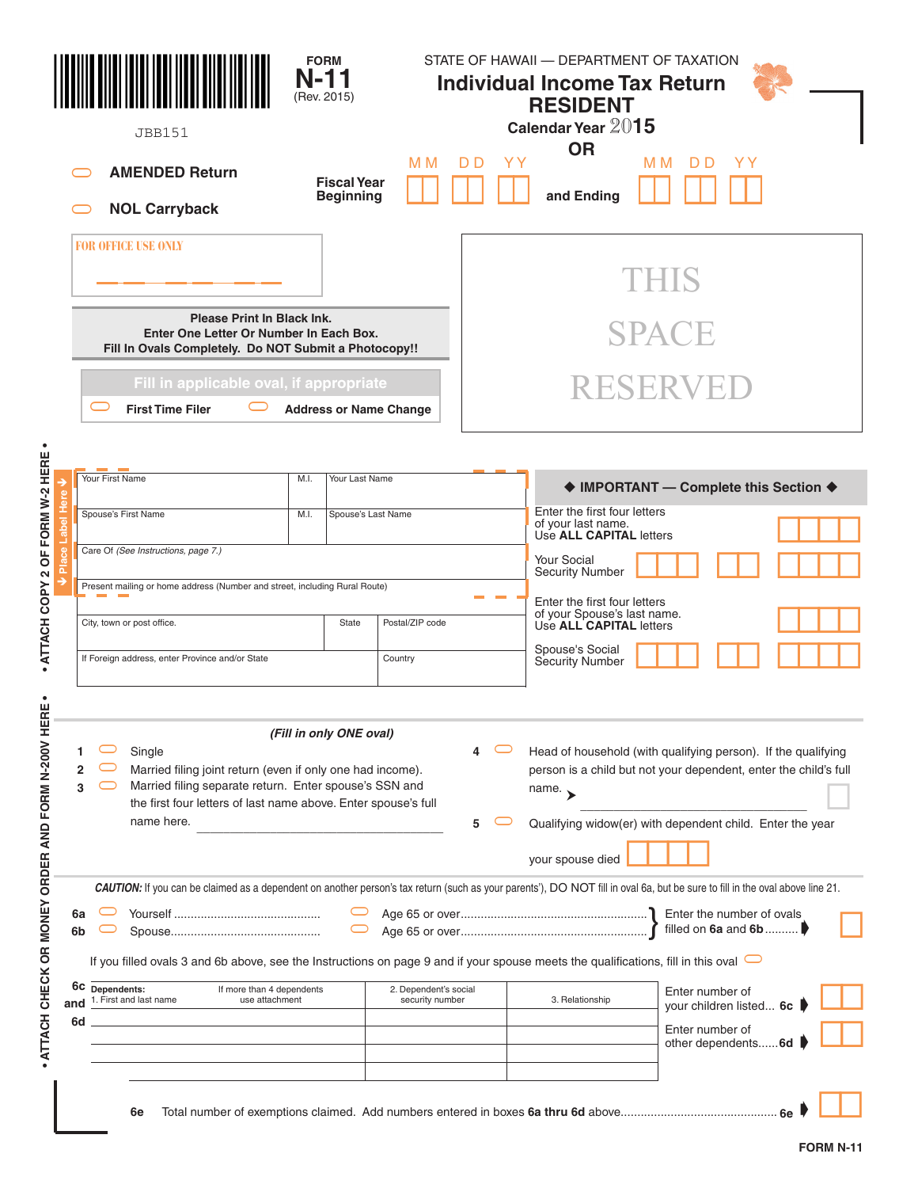| <b>JBB151</b>                                                                                                                                | <b>FORM</b><br>(Rev. 2015)                                                                                                                                                                                                   |                                                          | STATE OF HAWAII - DEPARTMENT OF TAXATION<br><b>Individual Income Tax Return</b><br><b>RESIDENT</b><br>Calendar Year 2015 |                                                                                                                                                                              |                                            |  |  |  |
|----------------------------------------------------------------------------------------------------------------------------------------------|------------------------------------------------------------------------------------------------------------------------------------------------------------------------------------------------------------------------------|----------------------------------------------------------|--------------------------------------------------------------------------------------------------------------------------|------------------------------------------------------------------------------------------------------------------------------------------------------------------------------|--------------------------------------------|--|--|--|
| <b>AMENDED Return</b><br><b>NOL Carryback</b>                                                                                                |                                                                                                                                                                                                                              | M <sub>M</sub><br><b>Fiscal Year</b><br><b>Beginning</b> | YΥ<br>D D                                                                                                                | <b>OR</b><br>and Ending                                                                                                                                                      | M M<br>ΥY<br>D D                           |  |  |  |
| <b>FOR OFFICE USE ONLY</b>                                                                                                                   |                                                                                                                                                                                                                              |                                                          |                                                                                                                          |                                                                                                                                                                              | THIS                                       |  |  |  |
| Fill In Ovals Completely. Do NOT Submit a Photocopy!!                                                                                        | <b>Please Print In Black Ink.</b><br>Enter One Letter Or Number In Each Box.                                                                                                                                                 |                                                          |                                                                                                                          |                                                                                                                                                                              | <b>SPACE</b>                               |  |  |  |
| <b>First Time Filer</b>                                                                                                                      | Fill in applicable oval, if appropriate                                                                                                                                                                                      | <b>Address or Name Change</b>                            |                                                                                                                          |                                                                                                                                                                              | RESERVED                                   |  |  |  |
| $\bullet$<br>Your First Name                                                                                                                 | M.I.                                                                                                                                                                                                                         | Your Last Name                                           |                                                                                                                          |                                                                                                                                                                              | ♦ IMPORTANT - Complete this Section ♦      |  |  |  |
| Here<br>Spouse's First Name<br><b>Label</b>                                                                                                  | M.I.                                                                                                                                                                                                                         | Spouse's Last Name                                       |                                                                                                                          | Enter the first four letters<br>of your last name.<br>Use ALL CAPITAL letters                                                                                                |                                            |  |  |  |
| Care Of (See Instructions, page 7.)                                                                                                          |                                                                                                                                                                                                                              |                                                          |                                                                                                                          | <b>Your Social</b><br><b>Security Number</b>                                                                                                                                 |                                            |  |  |  |
| - ATTACH COPY 2 OF FORM W-2 HERE<br>Present mailing or home address (Number and street, including Rural Route)<br>City, town or post office. |                                                                                                                                                                                                                              | Postal/ZIP code<br>State                                 |                                                                                                                          | Enter the first four letters<br>of your Spouse's last name.<br>Use ALL CAPITAL letters                                                                                       |                                            |  |  |  |
|                                                                                                                                              | If Foreign address, enter Province and/or State<br>Country                                                                                                                                                                   |                                                          |                                                                                                                          | Spouse's Social<br><b>Security Number</b>                                                                                                                                    |                                            |  |  |  |
| ÆΕ                                                                                                                                           | (Fill in only ONE oval)                                                                                                                                                                                                      |                                                          |                                                                                                                          |                                                                                                                                                                              |                                            |  |  |  |
| Single<br>2<br>3<br>name here.                                                                                                               | Married filing joint return (even if only one had income).<br>Married filing separate return. Enter spouse's SSN and<br>the first four letters of last name above. Enter spouse's full                                       |                                                          | 4                                                                                                                        | Head of household (with qualifying person). If the qualifying<br>person is a child but not your dependent, enter the child's full<br>name. $\rightarrow$                     |                                            |  |  |  |
|                                                                                                                                              |                                                                                                                                                                                                                              |                                                          | 5                                                                                                                        | Qualifying widow(er) with dependent child. Enter the year<br>your spouse died                                                                                                |                                            |  |  |  |
| . ATTACH CHECK OR MONEY ORDER AND FORM N-200V HE<br>6а<br>6b                                                                                 |                                                                                                                                                                                                                              |                                                          |                                                                                                                          | CAUTION: If you can be claimed as a dependent on another person's tax return (such as your parents'), DO NOT fill in oval 6a, but be sure to fill in the oval above line 21. | filled on 6a and 6b                        |  |  |  |
| 6c<br>Dependents:<br>1. First and last name<br>and<br>6d                                                                                     | If you filled ovals 3 and 6b above, see the Instructions on page 9 and if your spouse meets the qualifications, fill in this oval<br>If more than 4 dependents<br>2. Dependent's social<br>use attachment<br>security number |                                                          |                                                                                                                          | 3. Relationship                                                                                                                                                              | Enter number of<br>your children listed 6c |  |  |  |
|                                                                                                                                              |                                                                                                                                                                                                                              |                                                          |                                                                                                                          |                                                                                                                                                                              | Enter number of<br>other dependents6d      |  |  |  |
| 6e                                                                                                                                           |                                                                                                                                                                                                                              |                                                          |                                                                                                                          |                                                                                                                                                                              |                                            |  |  |  |

**FORM N-11**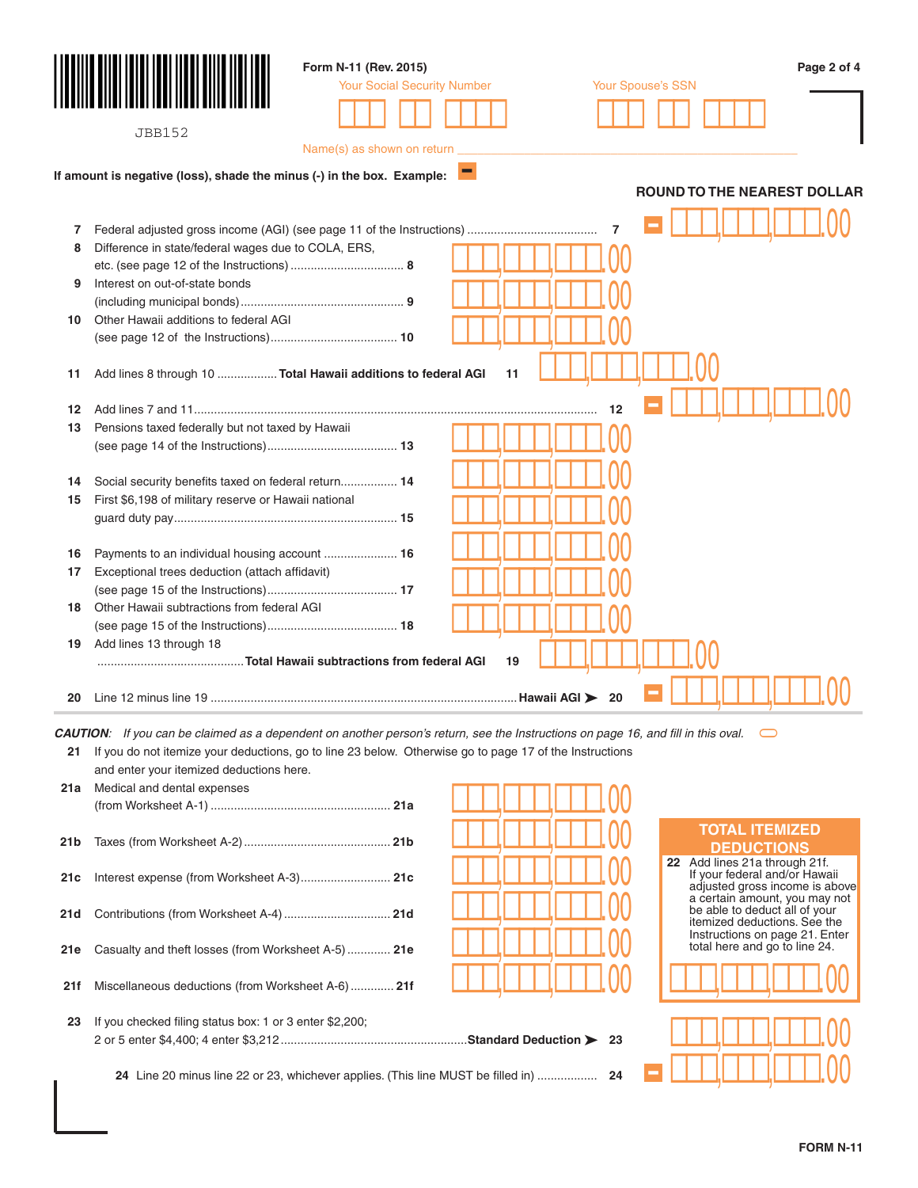|                 |                                                                                                                                   | Form N-11 (Rev. 2015)              |                                                                                      | Page 2 of 4                                                     |
|-----------------|-----------------------------------------------------------------------------------------------------------------------------------|------------------------------------|--------------------------------------------------------------------------------------|-----------------------------------------------------------------|
|                 |                                                                                                                                   | <b>Your Social Security Number</b> |                                                                                      | Your Spouse's SSN                                               |
|                 |                                                                                                                                   |                                    |                                                                                      |                                                                 |
|                 | <b>JBB152</b>                                                                                                                     |                                    |                                                                                      |                                                                 |
|                 |                                                                                                                                   | Name(s) as shown on return         |                                                                                      |                                                                 |
|                 |                                                                                                                                   |                                    |                                                                                      |                                                                 |
|                 | If amount is negative (loss), shade the minus (-) in the box. Example:                                                            |                                    |                                                                                      |                                                                 |
|                 |                                                                                                                                   |                                    |                                                                                      | <b>ROUND TO THE NEAREST DOLLAR</b>                              |
|                 |                                                                                                                                   |                                    |                                                                                      |                                                                 |
| 7               |                                                                                                                                   |                                    |                                                                                      |                                                                 |
| 8               | Difference in state/federal wages due to COLA, ERS,                                                                               |                                    |                                                                                      |                                                                 |
|                 | Interest on out-of-state bonds                                                                                                    |                                    |                                                                                      |                                                                 |
| 9               |                                                                                                                                   |                                    |                                                                                      |                                                                 |
| 10 <sup>°</sup> | Other Hawaii additions to federal AGI                                                                                             |                                    |                                                                                      |                                                                 |
|                 |                                                                                                                                   |                                    |                                                                                      |                                                                 |
|                 |                                                                                                                                   |                                    |                                                                                      |                                                                 |
| 11              | Add lines 8 through 10  Total Hawaii additions to federal AGI                                                                     |                                    | 11                                                                                   |                                                                 |
|                 |                                                                                                                                   |                                    |                                                                                      |                                                                 |
| 12              |                                                                                                                                   |                                    | 12                                                                                   |                                                                 |
| 13              | Pensions taxed federally but not taxed by Hawaii                                                                                  |                                    |                                                                                      |                                                                 |
|                 |                                                                                                                                   |                                    |                                                                                      |                                                                 |
|                 |                                                                                                                                   |                                    |                                                                                      |                                                                 |
| 14              | Social security benefits taxed on federal return 14                                                                               |                                    |                                                                                      |                                                                 |
| 15              | First \$6,198 of military reserve or Hawaii national                                                                              |                                    |                                                                                      |                                                                 |
|                 |                                                                                                                                   |                                    |                                                                                      |                                                                 |
|                 |                                                                                                                                   |                                    |                                                                                      |                                                                 |
| 16              |                                                                                                                                   |                                    |                                                                                      |                                                                 |
| 17              | Exceptional trees deduction (attach affidavit)                                                                                    |                                    |                                                                                      |                                                                 |
|                 |                                                                                                                                   |                                    |                                                                                      |                                                                 |
| 18              | Other Hawaii subtractions from federal AGI                                                                                        |                                    |                                                                                      |                                                                 |
|                 |                                                                                                                                   |                                    |                                                                                      |                                                                 |
| 19              | Add lines 13 through 18                                                                                                           |                                    |                                                                                      |                                                                 |
|                 |                                                                                                                                   |                                    | 19                                                                                   |                                                                 |
|                 |                                                                                                                                   |                                    |                                                                                      |                                                                 |
| 20              |                                                                                                                                   |                                    | -20                                                                                  |                                                                 |
|                 | CAUTION: If you can be claimed as a dependent on another person's return, see the Instructions on page 16, and fill in this oval. |                                    |                                                                                      |                                                                 |
| 21              | If you do not itemize your deductions, go to line 23 below. Otherwise go to page 17 of the Instructions                           |                                    |                                                                                      |                                                                 |
|                 | and enter your itemized deductions here.                                                                                          |                                    |                                                                                      |                                                                 |
| 21a             | Medical and dental expenses                                                                                                       |                                    |                                                                                      |                                                                 |
|                 |                                                                                                                                   |                                    |                                                                                      |                                                                 |
|                 |                                                                                                                                   |                                    |                                                                                      | <b>TOTAL ITEMIZED</b>                                           |
| 21b             |                                                                                                                                   |                                    |                                                                                      | <b>DEDUCTIONS</b>                                               |
|                 |                                                                                                                                   |                                    |                                                                                      | 22 Add lines 21a through 21f.                                   |
| 21c             | Interest expense (from Worksheet A-3) 21c                                                                                         |                                    |                                                                                      | If your federal and/or Hawaii<br>adjusted gross income is above |
|                 |                                                                                                                                   |                                    |                                                                                      | a certain amount, you may not                                   |
| 21d             | Contributions (from Worksheet A-4) 21d                                                                                            |                                    |                                                                                      | be able to deduct all of your<br>itemized deductions. See the   |
|                 |                                                                                                                                   |                                    |                                                                                      | Instructions on page 21. Enter                                  |
| 21e             | Casualty and theft losses (from Worksheet A-5)  21e                                                                               |                                    |                                                                                      | total here and go to line 24.                                   |
|                 |                                                                                                                                   |                                    |                                                                                      |                                                                 |
| 21f             | Miscellaneous deductions (from Worksheet A-6) 21f                                                                                 |                                    |                                                                                      |                                                                 |
|                 |                                                                                                                                   |                                    |                                                                                      |                                                                 |
| 23              | If you checked filing status box: 1 or 3 enter \$2,200;                                                                           |                                    |                                                                                      |                                                                 |
|                 |                                                                                                                                   |                                    |                                                                                      |                                                                 |
|                 |                                                                                                                                   |                                    |                                                                                      |                                                                 |
|                 |                                                                                                                                   |                                    | 24 Line 20 minus line 22 or 23, whichever applies. (This line MUST be filled in)  24 |                                                                 |
|                 |                                                                                                                                   |                                    |                                                                                      |                                                                 |
|                 |                                                                                                                                   |                                    |                                                                                      |                                                                 |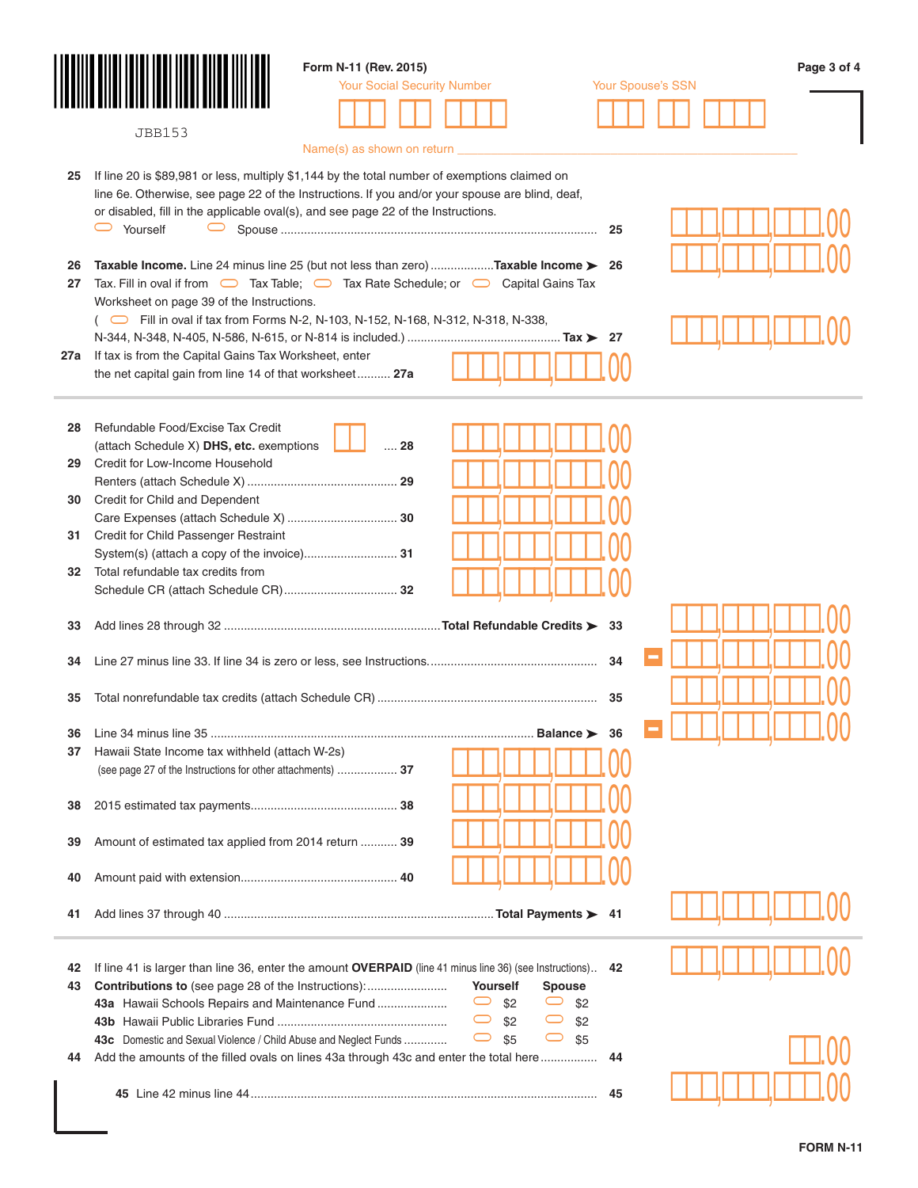|     |                                                                                                                                                                                      | Form N-11 (Rev. 2015)              |               | Page 3 of 4       |
|-----|--------------------------------------------------------------------------------------------------------------------------------------------------------------------------------------|------------------------------------|---------------|-------------------|
|     |                                                                                                                                                                                      | <b>Your Social Security Number</b> |               | Your Spouse's SSN |
|     |                                                                                                                                                                                      |                                    |               |                   |
|     | <b>JBB153</b>                                                                                                                                                                        |                                    |               |                   |
|     |                                                                                                                                                                                      | Name(s) as shown on return         |               |                   |
|     |                                                                                                                                                                                      |                                    |               |                   |
| 25  | If line 20 is \$89,981 or less, multiply \$1,144 by the total number of exemptions claimed on                                                                                        |                                    |               |                   |
|     | line 6e. Otherwise, see page 22 of the Instructions. If you and/or your spouse are blind, deaf,<br>or disabled, fill in the applicable oval(s), and see page 22 of the Instructions. |                                    |               |                   |
|     | □ Yourself                                                                                                                                                                           |                                    |               |                   |
|     |                                                                                                                                                                                      |                                    |               |                   |
| 26  | <b>Taxable Income.</b> Line 24 minus line 25 (but not less than zero) <b>Taxable Income &gt;</b> 26                                                                                  |                                    |               |                   |
| 27  | Tax. Fill in oval if from $\Box$ Tax Table; $\Box$ Tax Rate Schedule; or $\Box$ Capital Gains Tax                                                                                    |                                    |               |                   |
|     | Worksheet on page 39 of the Instructions.                                                                                                                                            |                                    |               |                   |
|     | ( Till in oval if tax from Forms N-2, N-103, N-152, N-168, N-312, N-318, N-338,                                                                                                      |                                    |               |                   |
|     |                                                                                                                                                                                      |                                    |               |                   |
| 27a | If tax is from the Capital Gains Tax Worksheet, enter                                                                                                                                |                                    |               |                   |
|     | the net capital gain from line 14 of that worksheet 27a                                                                                                                              |                                    |               |                   |
|     |                                                                                                                                                                                      |                                    |               |                   |
|     |                                                                                                                                                                                      |                                    |               |                   |
| 28  | Refundable Food/Excise Tax Credit                                                                                                                                                    |                                    |               |                   |
|     | (attach Schedule X) DHS, etc. exemptions                                                                                                                                             | $\dots$ 28                         |               |                   |
| 29  | Credit for Low-Income Household                                                                                                                                                      |                                    |               |                   |
|     |                                                                                                                                                                                      |                                    |               |                   |
| 30  | Credit for Child and Dependent                                                                                                                                                       |                                    |               |                   |
|     |                                                                                                                                                                                      |                                    |               |                   |
| 31  | Credit for Child Passenger Restraint                                                                                                                                                 |                                    |               |                   |
|     | System(s) (attach a copy of the invoice) 31                                                                                                                                          |                                    |               |                   |
| 32  | Total refundable tax credits from                                                                                                                                                    |                                    |               |                   |
|     |                                                                                                                                                                                      |                                    |               |                   |
| 33  |                                                                                                                                                                                      |                                    |               |                   |
|     |                                                                                                                                                                                      |                                    |               |                   |
| 34  |                                                                                                                                                                                      |                                    | 34            |                   |
|     |                                                                                                                                                                                      |                                    |               |                   |
| 35  |                                                                                                                                                                                      |                                    |               |                   |
|     |                                                                                                                                                                                      |                                    |               |                   |
| 36  |                                                                                                                                                                                      |                                    |               |                   |
| 37  | Hawaii State Income tax withheld (attach W-2s)                                                                                                                                       |                                    |               |                   |
|     | (see page 27 of the Instructions for other attachments)  37                                                                                                                          |                                    |               |                   |
|     |                                                                                                                                                                                      |                                    |               |                   |
| 38  |                                                                                                                                                                                      |                                    |               |                   |
|     |                                                                                                                                                                                      |                                    |               |                   |
| 39  | Amount of estimated tax applied from 2014 return  39                                                                                                                                 |                                    |               |                   |
|     |                                                                                                                                                                                      |                                    |               |                   |
| 40  |                                                                                                                                                                                      |                                    |               |                   |
| 41  |                                                                                                                                                                                      |                                    |               |                   |
|     |                                                                                                                                                                                      |                                    |               |                   |
|     |                                                                                                                                                                                      |                                    |               |                   |
| 42  | If line 41 is larger than line 36, enter the amount <b>OVERPAID</b> (line 41 minus line 36) (see Instructions)                                                                       |                                    | 42            |                   |
| 43  | <b>Contributions to</b> (see page 28 of the Instructions):                                                                                                                           | Yourself                           | <b>Spouse</b> |                   |
|     | 43a Hawaii Schools Repairs and Maintenance Fund                                                                                                                                      |                                    | \$2<br>\$2    |                   |
|     |                                                                                                                                                                                      | $\smash{\cup}$                     | \$2<br>\$2    |                   |
|     | 43c Domestic and Sexual Violence / Child Abuse and Neglect Funds                                                                                                                     | $\bigcirc$                         | \$5<br>\$5    |                   |
| 44  | Add the amounts of the filled ovals on lines 43a through 43c and enter the total here                                                                                                |                                    | 44            |                   |
|     |                                                                                                                                                                                      |                                    |               |                   |
|     |                                                                                                                                                                                      |                                    | 45            |                   |
|     |                                                                                                                                                                                      |                                    |               |                   |
|     |                                                                                                                                                                                      |                                    |               |                   |